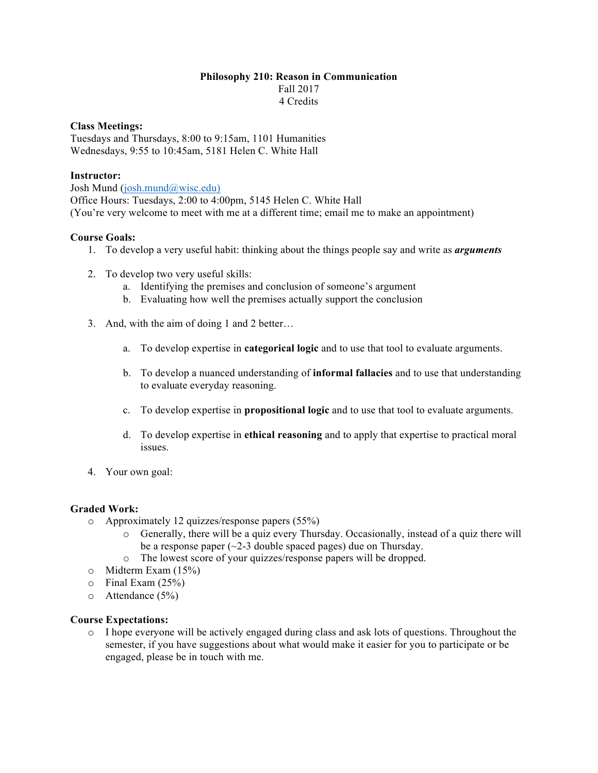# **Philosophy 210: Reason in Communication** Fall 2017 4 Credits

### **Class Meetings:**

Tuesdays and Thursdays, 8:00 to 9:15am, 1101 Humanities Wednesdays, 9:55 to 10:45am, 5181 Helen C. White Hall

### **Instructor:**

Josh Mund (josh.mund@wisc.edu) Office Hours: Tuesdays, 2:00 to 4:00pm, 5145 Helen C. White Hall (You're very welcome to meet with me at a different time; email me to make an appointment)

## **Course Goals:**

- 1. To develop a very useful habit: thinking about the things people say and write as *arguments*
- 2. To develop two very useful skills:
	- a. Identifying the premises and conclusion of someone's argument
	- b. Evaluating how well the premises actually support the conclusion
- 3. And, with the aim of doing 1 and 2 better…
	- a. To develop expertise in **categorical logic** and to use that tool to evaluate arguments.
	- b. To develop a nuanced understanding of **informal fallacies** and to use that understanding to evaluate everyday reasoning.
	- c. To develop expertise in **propositional logic** and to use that tool to evaluate arguments.
	- d. To develop expertise in **ethical reasoning** and to apply that expertise to practical moral issues.
- 4. Your own goal:

#### **Graded Work:**

- o Approximately 12 quizzes/response papers (55%)
	- o Generally, there will be a quiz every Thursday. Occasionally, instead of a quiz there will be a response paper  $(\sim 2-3$  double spaced pages) due on Thursday.
	- o The lowest score of your quizzes/response papers will be dropped.
- o Midterm Exam (15%)
- $\circ$  Final Exam (25%)
- $\circ$  Attendance (5%)

#### **Course Expectations:**

o I hope everyone will be actively engaged during class and ask lots of questions. Throughout the semester, if you have suggestions about what would make it easier for you to participate or be engaged, please be in touch with me.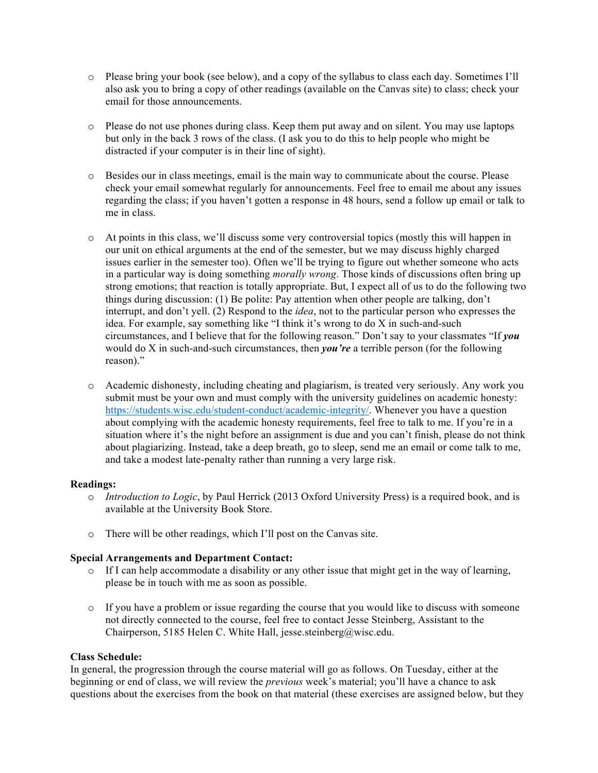- o Please bring your book (see below), and a copy of the syllabus to class each day. Sometimes I'll also ask you to bring a copy of other readings (available on the Canvas site) to class; check your email for those announcements.
- o Please do not use phones during class. Keep them put away and on silent. You may use laptops but only in the back 3 rows of the class. (I ask you to do this to help people who might be distracted if your computer is in their line of sight).
- o Besides our in class meetings, email is the main way to communicate about the course. Please check your email somewhat regularly for announcements. Feel free to email me about any issues regarding the class; if you haven't gotten a response in 48 hours, send a follow up email or talk to me in class.
- o At points in this class, we'll discuss some very controversial topics (mostly this will happen in our unit on ethical arguments at the end of the semester, but we may discuss highly charged issues earlier in the semester too). Often we'll be trying to figure out whether someone who acts in a particular way is doing something *morally wrong*. Those kinds of discussions often bring up strong emotions; that reaction is totally appropriate. But, I expect all of us to do the following two things during discussion: (1) Be polite: Pay attention when other people are talking, don't interrupt, and don't yell. (2) Respond to the *idea*, not to the particular person who expresses the idea. For example, say something like "I think it's wrong to do X in such-and-such circumstances, and I believe that for the following reason." Don't say to your classmates "If *you* would do X in such-and-such circumstances, then *you're* a terrible person (for the following reason)."
- o Academic dishonesty, including cheating and plagiarism, is treated very seriously. Any work you submit must be your own and must comply with the university guidelines on academic honesty: https://students.wisc.edu/student-conduct/academic-integrity/. Whenever you have a question about complying with the academic honesty requirements, feel free to talk to me. If you're in a situation where it's the night before an assignment is due and you can't finish, please do not think about plagiarizing. Instead, take a deep breath, go to sleep, send me an email or come talk to me, and take a modest late-penalty rather than running a very large risk.

## **Readings:**

- o *Introduction to Logic*, by Paul Herrick (2013 Oxford University Press) is a required book, and is available at the University Book Store.
- o There will be other readings, which I'll post on the Canvas site.

## **Special Arrangements and Department Contact:**

- $\circ$  If I can help accommodate a disability or any other issue that might get in the way of learning, please be in touch with me as soon as possible.
- $\circ$  If you have a problem or issue regarding the course that you would like to discuss with someone not directly connected to the course, feel free to contact Jesse Steinberg, Assistant to the Chairperson, 5185 Helen C. White Hall, jesse.steinberg@wisc.edu.

## **Class Schedule:**

In general, the progression through the course material will go as follows. On Tuesday, either at the beginning or end of class, we will review the *previous* week's material; you'll have a chance to ask questions about the exercises from the book on that material (these exercises are assigned below, but they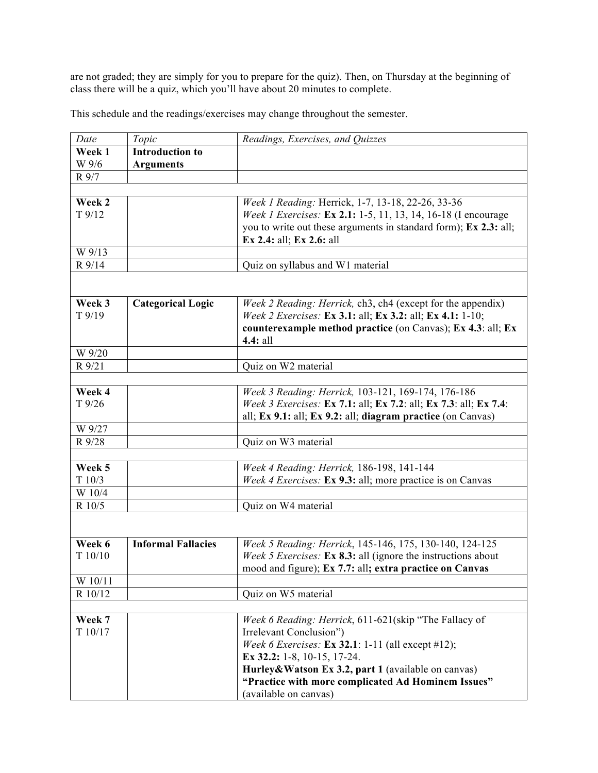are not graded; they are simply for you to prepare for the quiz). Then, on Thursday at the beginning of class there will be a quiz, which you'll have about 20 minutes to complete.

This schedule and the readings/exercises may change throughout the semester.

| Date     | Topic                     | Readings, Exercises, and Quizzes                                        |
|----------|---------------------------|-------------------------------------------------------------------------|
| Week 1   | <b>Introduction to</b>    |                                                                         |
| W 9/6    | <b>Arguments</b>          |                                                                         |
| R 9/7    |                           |                                                                         |
|          |                           |                                                                         |
| Week 2   |                           | Week 1 Reading: Herrick, 1-7, 13-18, 22-26, 33-36                       |
| $T$ 9/12 |                           | Week 1 Exercises: Ex 2.1: 1-5, 11, 13, 14, 16-18 (I encourage           |
|          |                           | you to write out these arguments in standard form); Ex 2.3: all;        |
|          |                           | Ex 2.4: all; Ex 2.6: all                                                |
| W 9/13   |                           |                                                                         |
| R 9/14   |                           | Quiz on syllabus and W1 material                                        |
|          |                           |                                                                         |
|          |                           |                                                                         |
| Week 3   | <b>Categorical Logic</b>  | Week 2 Reading: Herrick, ch3, ch4 (except for the appendix)             |
| $T$ 9/19 |                           | Week 2 Exercises: Ex 3.1: all; Ex 3.2: all; Ex 4.1: 1-10;               |
|          |                           | counterexample method practice (on Canvas); Ex 4.3: all; Ex<br>4.4: all |
| W 9/20   |                           |                                                                         |
| R 9/21   |                           | Quiz on W2 material                                                     |
|          |                           |                                                                         |
| Week 4   |                           | Week 3 Reading: Herrick, 103-121, 169-174, 176-186                      |
| $T$ 9/26 |                           | Week 3 Exercises: Ex 7.1: all; Ex 7.2: all; Ex 7.3: all; Ex 7.4:        |
|          |                           | all; Ex 9.1: all; Ex 9.2: all; diagram practice (on Canvas)             |
| W 9/27   |                           |                                                                         |
| R 9/28   |                           | Quiz on W3 material                                                     |
|          |                           |                                                                         |
| Week 5   |                           | Week 4 Reading: Herrick, 186-198, 141-144                               |
| T10/3    |                           | Week 4 Exercises: Ex 9.3: all; more practice is on Canvas               |
| W 10/4   |                           |                                                                         |
| R 10/5   |                           | Quiz on W4 material                                                     |
|          |                           |                                                                         |
|          |                           |                                                                         |
| Week 6   | <b>Informal Fallacies</b> | Week 5 Reading: Herrick, 145-146, 175, 130-140, 124-125                 |
| T10/10   |                           | Week 5 Exercises: Ex 8.3: all (ignore the instructions about            |
|          |                           | mood and figure); Ex 7.7: all; extra practice on Canvas                 |
| W 10/11  |                           |                                                                         |
| R 10/12  |                           | Quiz on W5 material                                                     |
|          |                           |                                                                         |
| Week 7   |                           | Week 6 Reading: Herrick, 611-621(skip "The Fallacy of                   |
| T 10/17  |                           | Irrelevant Conclusion")                                                 |
|          |                           | Week 6 Exercises: Ex 32.1: 1-11 (all except #12);                       |
|          |                           | Ex 32.2: 1-8, 10-15, 17-24.                                             |
|          |                           | Hurley&Watson Ex 3.2, part 1 (available on canvas)                      |
|          |                           | "Practice with more complicated Ad Hominem Issues"                      |
|          |                           | (available on canvas)                                                   |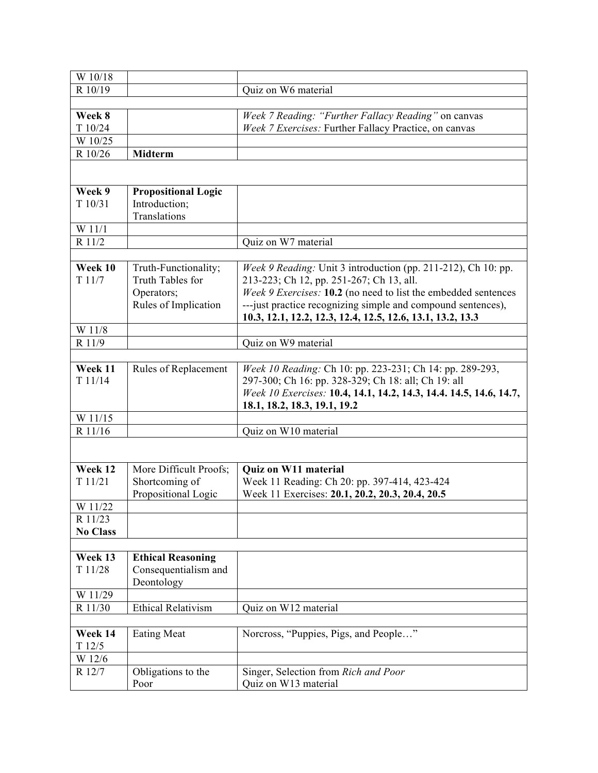| W 10/18         |                            |                                                                    |
|-----------------|----------------------------|--------------------------------------------------------------------|
| R 10/19         |                            | Quiz on W6 material                                                |
|                 |                            |                                                                    |
| Week 8          |                            | Week 7 Reading: "Further Fallacy Reading" on canvas                |
| T 10/24         |                            | Week 7 Exercises: Further Fallacy Practice, on canvas              |
| W 10/25         |                            |                                                                    |
| R 10/26         | Midterm                    |                                                                    |
|                 |                            |                                                                    |
|                 |                            |                                                                    |
| Week 9          | <b>Propositional Logic</b> |                                                                    |
| T10/31          | Introduction;              |                                                                    |
|                 | Translations               |                                                                    |
| W 11/1          |                            |                                                                    |
| R 11/2          |                            | Quiz on W7 material                                                |
|                 |                            |                                                                    |
| Week 10         | Truth-Functionality;       | Week 9 Reading: Unit 3 introduction (pp. 211-212), Ch 10: pp.      |
| T11/7           | Truth Tables for           | 213-223; Ch 12, pp. 251-267; Ch 13, all.                           |
|                 | Operators;                 | Week 9 Exercises: 10.2 (no need to list the embedded sentences     |
|                 | Rules of Implication       | --- just practice recognizing simple and compound sentences),      |
|                 |                            | 10.3, 12.1, 12.2, 12.3, 12.4, 12.5, 12.6, 13.1, 13.2, 13.3         |
| W 11/8          |                            |                                                                    |
| R 11/9          |                            | Quiz on W9 material                                                |
|                 |                            |                                                                    |
| Week 11         | Rules of Replacement       | Week 10 Reading: Ch 10: pp. 223-231; Ch 14: pp. 289-293,           |
| T11/14          |                            | 297-300; Ch 16: pp. 328-329; Ch 18: all; Ch 19: all                |
|                 |                            | Week 10 Exercises: 10.4, 14.1, 14.2, 14.3, 14.4. 14.5, 14.6, 14.7, |
|                 |                            | 18.1, 18.2, 18.3, 19.1, 19.2                                       |
| W 11/15         |                            |                                                                    |
| R 11/16         |                            | Quiz on W10 material                                               |
|                 |                            |                                                                    |
|                 |                            |                                                                    |
| Week 12         | More Difficult Proofs;     | Quiz on W11 material                                               |
| T11/21          | Shortcoming of             | Week 11 Reading: Ch 20: pp. 397-414, 423-424                       |
|                 | Propositional Logic        | Week 11 Exercises: 20.1, 20.2, 20.3, 20.4, 20.5                    |
| W 11/22         |                            |                                                                    |
| R 11/23         |                            |                                                                    |
| <b>No Class</b> |                            |                                                                    |
|                 |                            |                                                                    |
| Week 13         | <b>Ethical Reasoning</b>   |                                                                    |
| T 11/28         | Consequentialism and       |                                                                    |
|                 | Deontology                 |                                                                    |
| W 11/29         |                            |                                                                    |
| R 11/30         | <b>Ethical Relativism</b>  | Quiz on W12 material                                               |
|                 |                            |                                                                    |
| Week 14         | <b>Eating Meat</b>         | Norcross, "Puppies, Pigs, and People"                              |
| T12/5           |                            |                                                                    |
| W 12/6          |                            |                                                                    |
| R 12/7          | Obligations to the         | Singer, Selection from Rich and Poor                               |
|                 | Poor                       | Quiz on W13 material                                               |